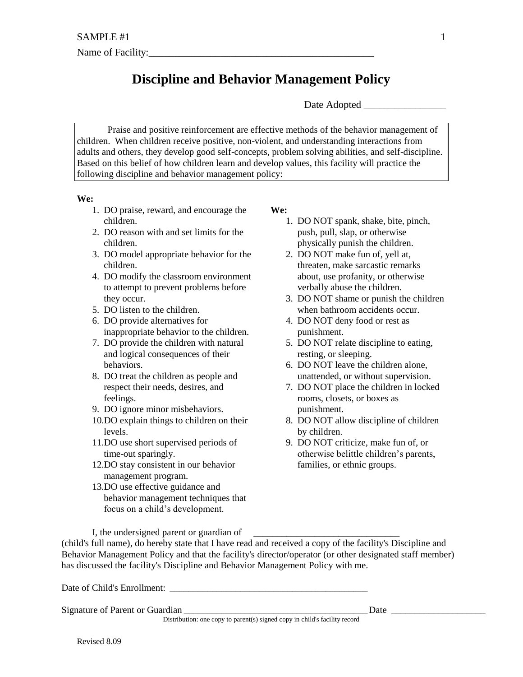## **Discipline and Behavior Management Policy**

Date Adopted

Praise and positive reinforcement are effective methods of the behavior management of children. When children receive positive, non-violent, and understanding interactions from adults and others, they develop good self-concepts, problem solving abilities, and self-discipline. Based on this belief of how children learn and develop values, this facility will practice the following discipline and behavior management policy:

## **We:**

- 1. DO praise, reward, and encourage the children.
- 2. DO reason with and set limits for the children.
- 3. DO model appropriate behavior for the children.
- 4. DO modify the classroom environment to attempt to prevent problems before they occur.
- 5. DO listen to the children.
- 6. DO provide alternatives for inappropriate behavior to the children.
- 7. DO provide the children with natural and logical consequences of their behaviors.
- 8. DO treat the children as people and respect their needs, desires, and feelings.
- 9. DO ignore minor misbehaviors.
- 10.DO explain things to children on their levels.
- 11.DO use short supervised periods of time-out sparingly.
- 12.DO stay consistent in our behavior management program.
- 13.DO use effective guidance and behavior management techniques that focus on a child's development.

**We:** 

- 1. DO NOT spank, shake, bite, pinch, push, pull, slap, or otherwise physically punish the children.
- 2. DO NOT make fun of, yell at, threaten, make sarcastic remarks about, use profanity, or otherwise verbally abuse the children.
- 3. DO NOT shame or punish the children when bathroom accidents occur.
- 4. DO NOT deny food or rest as punishment.
- 5. DO NOT relate discipline to eating, resting, or sleeping.
- 6. DO NOT leave the children alone, unattended, or without supervision.
- 7. DO NOT place the children in locked rooms, closets, or boxes as punishment.
- 8. DO NOT allow discipline of children by children.
- 9. DO NOT criticize, make fun of, or otherwise belittle children's parents, families, or ethnic groups.

I, the undersigned parent or guardian of

(child's full name), do hereby state that I have read and received a copy of the facility's Discipline and Behavior Management Policy and that the facility's director/operator (or other designated staff member) has discussed the facility's Discipline and Behavior Management Policy with me.

Date of Child's Enrollment: \_\_\_\_\_\_\_\_\_\_\_\_\_\_\_\_\_\_\_\_\_\_\_\_\_\_\_\_\_\_\_\_\_\_\_\_\_\_\_\_\_\_

Signature of Parent or Guardian \_\_\_\_\_\_\_\_\_\_\_\_\_\_\_\_\_\_\_\_\_\_\_\_\_\_\_\_\_\_\_\_\_\_\_\_\_\_\_ Date \_\_\_\_\_\_\_\_\_\_\_\_\_\_\_\_\_\_\_\_

Distribution: one copy to parent(s) signed copy in child's facility record